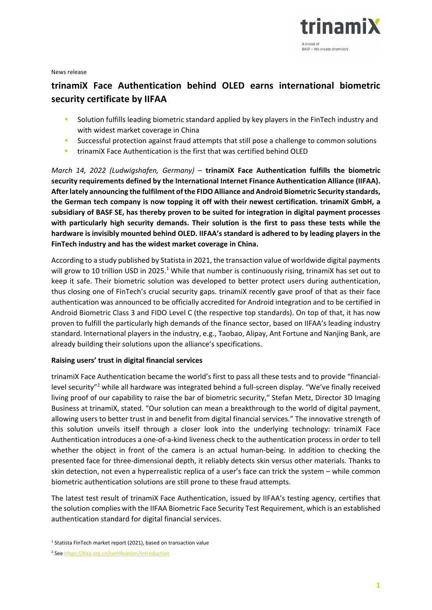

News release

# **trinamiX Face Authentication behind OLED earns international biometric security certificate by IIFAA**

- **Solution fulfills leading biometric standard applied by key players in the FinTech industry and** with widest market coverage in China
- **Successful protection against fraud attempts that still pose a challenge to common solutions**
- **timamiX Face Authentication is the first that was certified behind OLED**

*March 14, 2022 (Ludwigshafen, Germany) –* **trinamiX Face Authentication fulfills the biometric security requirements defined by the International Internet Finance Authentication Alliance (IIFAA). Afterlately announcing the fulfilment ofthe FIDO Alliance and Android Biometric Security standards, the German tech company is now topping it off with their newest certification. trinamiX GmbH, a subsidiary of BASF SE, has thereby proven to be suited for integration in digital payment processes with particularly high security demands. Their solution is the first to pass these tests while the hardware is invisibly mounted behind OLED. IIFAA's standard is adhered to by leading players in the FinTech industry and has the widest market coverage in China.** 

According to a study published by Statista in 2021, the transaction value of worldwide digital payments will grow to 10 trillion USD in 2025.<sup>1</sup> While that number is continuously rising, trinamiX has set out to keep it safe. Their biometric solution was developed to better protect users during authentication, thus closing one of FinTech's crucial security gaps. trinamiX recently gave proof of that as their face authentication was announced to be officially accredited for Android integration and to be certified in Android Biometric Class 3 and FIDO Level C (the respective top standards). On top of that, it has now proven to fulfill the particularly high demands of the finance sector, based on IIFAA's leading industry standard. International players in the industry, e.g., Taobao, Alipay, Ant Fortune and Nanjing Bank, are already building their solutions upon the alliance's specifications.

## **Raising users' trust in digital financial services**

trinamiX Face Authentication became the world's first to pass all these tests and to provide "financial‐ level security"<sup>2</sup> while all hardware was integrated behind a full-screen display. "We've finally received living proof of our capability to raise the bar of biometric security," Stefan Metz, Director 3D Imaging Business at trinamiX, stated. "Our solution can mean a breakthrough to the world of digital payment, allowing users to better trust in and benefit from digital financial services." The innovative strength of this solution unveils itself through a closer look into the underlying technology: trinamiX Face Authentication introduces a one‐of‐a‐kind liveness check to the authentication process in order to tell whether the object in front of the camera is an actual human-being. In addition to checking the presented face for three‐dimensional depth, it reliably detects skin versus other materials. Thanks to skin detection, not even a hyperrealistic replica of a user's face can trick the system – while common biometric authentication solutions are still prone to these fraud attempts.

The latest test result of trinamiX Face Authentication, issued by IIFAA's testing agency, certifies that the solution complies with the IIFAA Biometric Face Security Test Requirement, which is an established authentication standard for digital financial services.

 $1$  Statista FinTech market report (2021), based on transaction value

<sup>2</sup> See https://ifaa.org.cn/certification/introduction